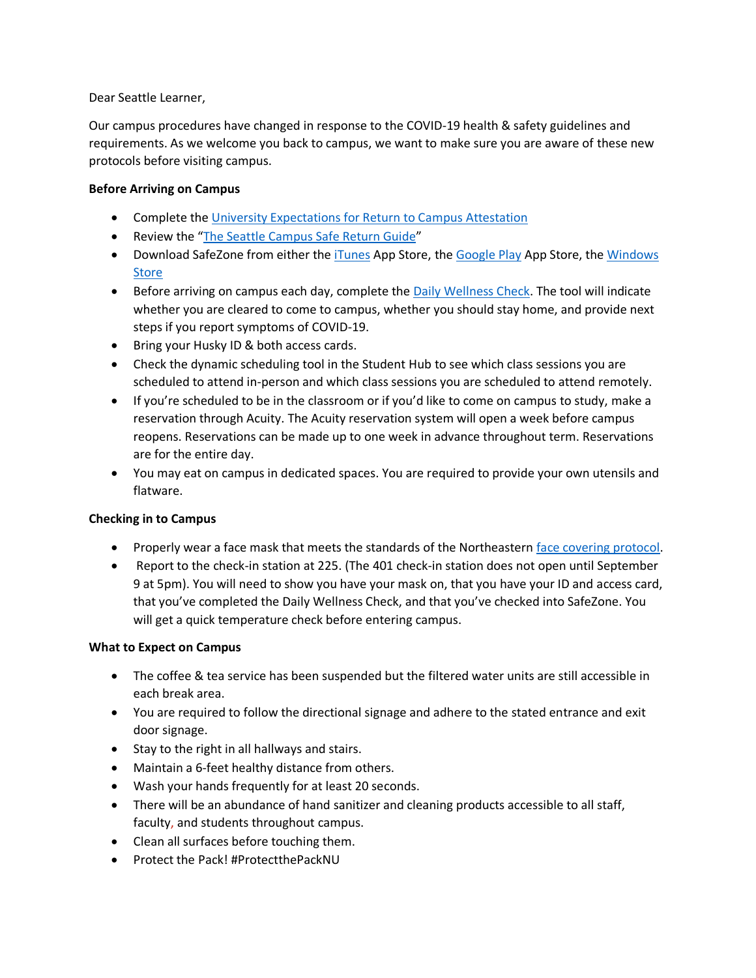Dear Seattle Learner,

Our campus procedures have changed in response to the COVID-19 health & safety guidelines and requirements. As we welcome you back to campus, we want to make sure you are aware of these new protocols before visiting campus.

## **Before Arriving on Campus**

- Complete the [University Expectations for Return to Campus Attestation](https://nam12.safelinks.protection.outlook.com/?url=https%3A%2F%2Fservices.northeastern.edu%2Fwellness%3Fid%3Dwellness_cat_item%26sys_id%3Df2121eaedb665010a37cd206ca961934&data=02%7C01%7Cm.sykes%40NORTHEASTERN.EDU%7C225a030dc745485676ff08d841f3ff67%7Ca8eec281aaa34daeac9b9a398b9215e7%7C0%7C0%7C637331863500698592&sdata=TVdSkhLzhTm4DPjXTyuNksZ1%2FHxTHexYwBzyEd8icOY%3D&reserved=0)
- Review the "[The Seattle Campus Safe Return Guide](https://northeastern-my.sharepoint.com/:p:/g/personal/r_landowski_northeastern_edu/Ecctva4K2i5LpJFj3lp_vbYBJtlOKQrI0f9e-oDZwBPwxQ?e=hXXCwY)"
- Download SafeZone from either the [iTunes](https://itunes.apple.com/au/app/safezone/id533054756?mt=8) App Store, th[e Google Play](https://play.google.com/store/apps/details?id=com.criticalarc.safezoneapp) App Store, the Windows [Store](https://www.microsoft.com/en-us/store/p/safezone/9wzdncrdfj25)
- Before arriving on campus each day, complete the [Daily Wellness Check.](https://nam12.safelinks.protection.outlook.com/?url=https%3A%2F%2Fwellness-check.northeastern.edu%2F&data=02%7C01%7Cm.sykes%40NORTHEASTERN.EDU%7C225a030dc745485676ff08d841f3ff67%7Ca8eec281aaa34daeac9b9a398b9215e7%7C0%7C0%7C637331863500708572&sdata=ZmHPVpLzNMn6cVYC7L6apRlT%2ByhxW3nw%2F7vsdTTcsGg%3D&reserved=0) The tool will indicate whether you are cleared to come to campus, whether you should stay home, and provide next steps if you report symptoms of COVID-19.
- Bring your Husky ID & both access cards.
- Check the dynamic scheduling tool in the Student Hub to see which class sessions you are scheduled to attend in-person and which class sessions you are scheduled to attend remotely.
- If you're scheduled to be in the classroom or if you'd like to come on campus to study, make a reservation through Acuity. The Acuity reservation system will open a week before campus reopens. Reservations can be made up to one week in advance throughout term. Reservations are for the entire day.
- You may eat on campus in dedicated spaces. You are required to provide your own utensils and flatware.

# **Checking in to Campus**

- Properly wear a face mask that meets the standards of the Northeastern face covering protocol.
- Report to the check-in station at 225. (The 401 check-in station does not open until September 9 at 5pm). You will need to show you have your mask on, that you have your ID and access card, that you've completed the Daily Wellness Check, and that you've checked into SafeZone. You will get a quick temperature check before entering campus.

### **What to Expect on Campus**

- The coffee & tea service has been suspended but the filtered water units are still accessible in each break area.
- You are required to follow the directional signage and adhere to the stated entrance and exit door signage.
- Stay to the right in all hallways and stairs.
- Maintain a 6-feet healthy distance from others.
- Wash your hands frequently for at least 20 seconds.
- There will be an abundance of hand sanitizer and cleaning products accessible to all staff, faculty, and students throughout campus.
- Clean all surfaces before touching them.
- Protect the Pack! #ProtectthePackNU